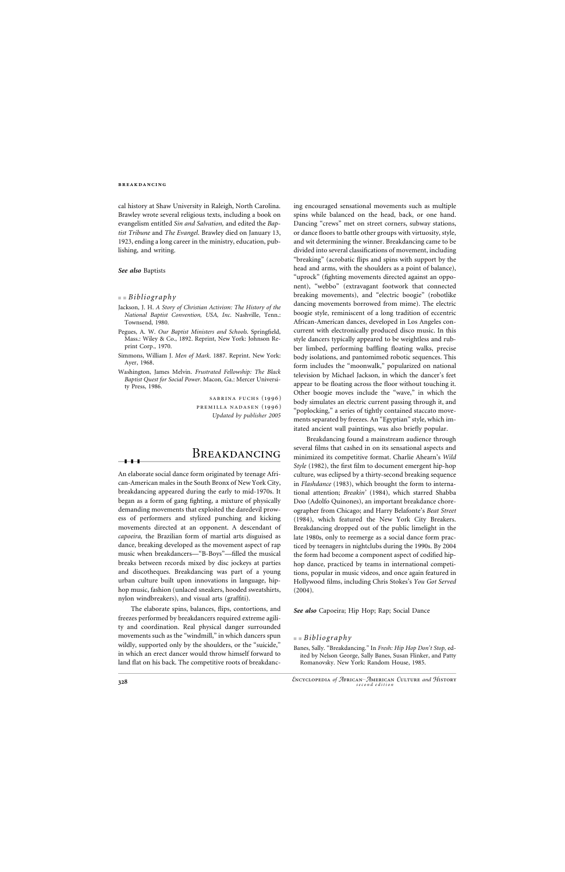cal history at Shaw University in Raleigh, North Carolina. Brawley wrote several religious texts, including a book on evangelism entitled *Sin and Salvation,* and edited the *Baptist Tribune* and *The Evangel*. Brawley died on January 13, 1923, ending a long career in the ministry, education, publishing, and writing.

#### *See also* Baptists

### ■ ■ *Bibliography*

- Jackson, J. H. *A Story of Christian Activism: The History of the National Baptist Convention, USA, Inc*. Nashville, Tenn.: Townsend, 1980.
- Pegues, A. W. *Our Baptist Ministers and Schools*. Springfield, Mass.: Wiley & Co., 1892. Reprint, New York: Johnson Reprint Corp., 1970.
- Simmons, William J. *Men of Mark*. 1887. Reprint. New York: Ayer, 1968.
- Washington, James Melvin. *Frustrated Fellowship: The Black Baptist Quest for Social Power*. Macon, Ga.: Mercer University Press, 1986.

sabrina fuchs (1996) premilla nadasen (1996) *Updated by publisher 2005*

## Breakdancing

### ❚❚❚

An elaborate social dance form originated by teenage African-American males in the South Bronx of New York City, breakdancing appeared during the early to mid-1970s. It began as a form of gang fighting, a mixture of physically demanding movements that exploited the daredevil prowess of performers and stylized punching and kicking movements directed at an opponent. A descendant of *capoeira,* the Brazilian form of martial arts disguised as dance, breaking developed as the movement aspect of rap music when breakdancers—"B-Boys"—filled the musical breaks between records mixed by disc jockeys at parties and discotheques. Breakdancing was part of a young urban culture built upon innovations in language, hiphop music, fashion (unlaced sneakers, hooded sweatshirts, nylon windbreakers), and visual arts (graffiti).

The elaborate spins, balances, flips, contortions, and freezes performed by breakdancers required extreme agility and coordination. Real physical danger surrounded movements such as the "windmill," in which dancers spun wildly, supported only by the shoulders, or the "suicide," in which an erect dancer would throw himself forward to land flat on his back. The competitive roots of breakdanc-

ing encouraged sensational movements such as multiple spins while balanced on the head, back, or one hand. Dancing "crews" met on street corners, subway stations, or dance floors to battle other groups with virtuosity, style, and wit determining the winner. Breakdancing came to be divided into several classifications of movement, including "breaking" (acrobatic flips and spins with support by the head and arms, with the shoulders as a point of balance), "uprock" (fighting movements directed against an opponent), "webbo" (extravagant footwork that connected breaking movements), and "electric boogie" (robotlike dancing movements borrowed from mime). The electric boogie style, reminiscent of a long tradition of eccentric African-American dances, developed in Los Angeles concurrent with electronically produced disco music. In this style dancers typically appeared to be weightless and rubber limbed, performing baffling floating walks, precise body isolations, and pantomimed robotic sequences. This form includes the "moonwalk," popularized on national television by Michael Jackson, in which the dancer's feet appear to be floating across the floor without touching it. Other boogie moves include the "wave," in which the body simulates an electric current passing through it, and "poplocking," a series of tightly contained staccato movements separated by freezes. An "Egyptian" style, which imitated ancient wall paintings, was also briefly popular.

Breakdancing found a mainstream audience through several films that cashed in on its sensational aspects and minimized its competitive format. Charlie Ahearn's *Wild Style* (1982), the first film to document emergent hip-hop culture, was eclipsed by a thirty-second breaking sequence in *Flashdance* (1983), which brought the form to international attention; *Breakin'* (1984), which starred Shabba Doo (Adolfo Quinones), an important breakdance choreographer from Chicago; and Harry Belafonte's *Beat Street* (1984), which featured the New York City Breakers. Breakdancing dropped out of the public limelight in the late 1980s, only to reemerge as a social dance form practiced by teenagers in nightclubs during the 1990s. By 2004 the form had become a component aspect of codified hiphop dance, practiced by teams in international competitions, popular in music videos, and once again featured in Hollywood films, including Chris Stokes's *You Got Served* (2004).

*See also* Capoeira; Hip Hop; Rap; Social Dance

### ■ ■ *Bibliography*

Banes, Sally. "Breakdancing." In *Fresh: Hip Hop Don't Stop,* edited by Nelson George, Sally Banes, Susan Flinker, and Patty Romanovsky. New York: Random House, 1985.

### **breakdancing**

*<sup>E</sup>*ncyclopedia *of <sup>A</sup>*frican*A*merican *<sup>C</sup>*ulture *and <sup>H</sup>*istory **<sup>328</sup>** *second edition*